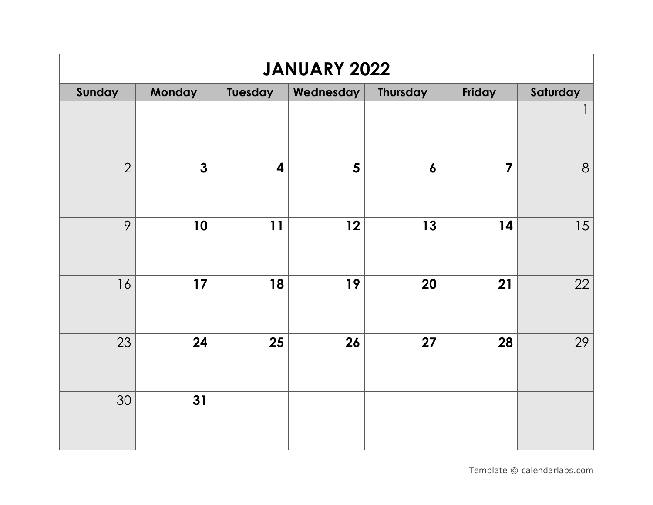| <b>JANUARY 2022</b> |              |                         |           |                  |                         |                |  |  |  |
|---------------------|--------------|-------------------------|-----------|------------------|-------------------------|----------------|--|--|--|
| Sunday              | Monday       | <b>Tuesday</b>          | Wednesday | <b>Thursday</b>  | Friday                  | Saturday       |  |  |  |
|                     |              |                         |           |                  |                         | $\mathbf{1}$   |  |  |  |
| $\overline{2}$      | $\mathbf{3}$ | $\overline{\mathbf{4}}$ | 5         | $\boldsymbol{6}$ | $\overline{\mathbf{z}}$ | $8\phantom{1}$ |  |  |  |
| 9                   | 10           | 11                      | 12        | 13               | 14                      | 15             |  |  |  |
| 16                  | 17           | 18                      | 19        | 20               | 21                      | 22             |  |  |  |
| 23                  | 24           | 25                      | 26        | 27               | 28                      | 29             |  |  |  |
| 30                  | 31           |                         |           |                  |                         |                |  |  |  |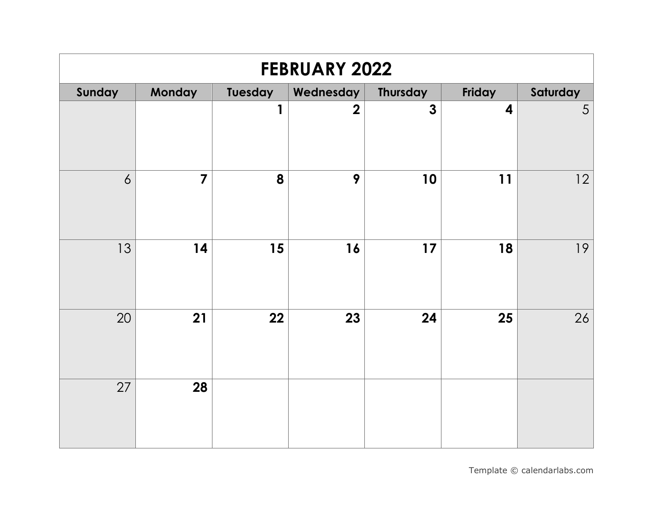| <b>FEBRUARY 2022</b> |                |         |                |                         |                         |          |  |  |  |
|----------------------|----------------|---------|----------------|-------------------------|-------------------------|----------|--|--|--|
| Sunday               | Monday         | Tuesday | Wednesday      | <b>Thursday</b>         | Friday                  | Saturday |  |  |  |
|                      |                | 1       | $\overline{2}$ | $\overline{\mathbf{3}}$ | $\overline{\mathbf{4}}$ | 5        |  |  |  |
| 6                    | $\overline{7}$ | 8       | 9              | 10                      | 11                      | 12       |  |  |  |
| 13                   | 14             | 15      | 16             | 17                      | 18                      | 19       |  |  |  |
| 20                   | 21             | 22      | 23             | 24                      | 25                      | 26       |  |  |  |
| 27                   | 28             |         |                |                         |                         |          |  |  |  |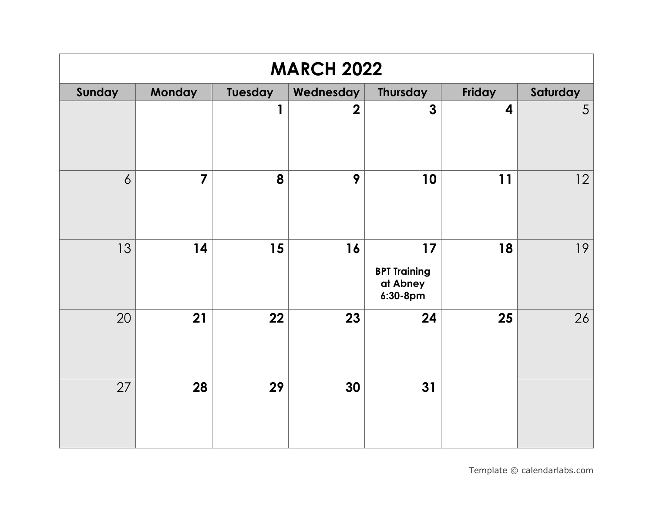| <b>MARCH 2022</b> |                |         |                |                                                   |                         |          |  |  |
|-------------------|----------------|---------|----------------|---------------------------------------------------|-------------------------|----------|--|--|
| Sunday            | Monday         | Tuesday | Wednesday      | Thursday                                          | Friday                  | Saturday |  |  |
|                   |                | 1       | $\overline{2}$ | $\overline{\mathbf{3}}$                           | $\overline{\mathbf{4}}$ | 5        |  |  |
| $\overline{6}$    | $\overline{7}$ | 8       | 9              | 10                                                | 11                      | 12       |  |  |
| 13                | 14             | 15      | 16             | 17<br><b>BPT Training</b><br>at Abney<br>6:30-8pm | 18                      | 19       |  |  |
| 20                | 21             | 22      | 23             | 24                                                | 25                      | 26       |  |  |
| 27                | 28             | 29      | 30             | 31                                                |                         |          |  |  |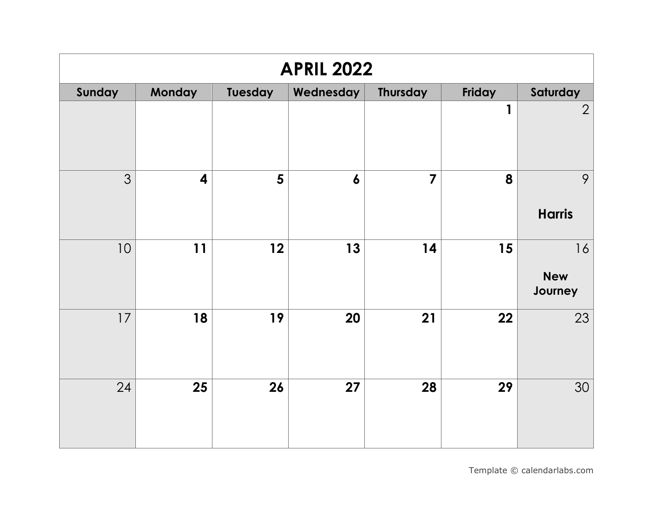| <b>APRIL 2022</b> |                         |                |                  |                         |        |                             |  |  |
|-------------------|-------------------------|----------------|------------------|-------------------------|--------|-----------------------------|--|--|
| Sunday            | <b>Monday</b>           | <b>Tuesday</b> | Wednesday        | <b>Thursday</b>         | Friday | Saturday                    |  |  |
|                   |                         |                |                  |                         | 1      | $\overline{2}$              |  |  |
| 3                 | $\overline{\mathbf{4}}$ | $5\phantom{1}$ | $\boldsymbol{6}$ | $\overline{\mathbf{z}}$ | 8      | 9<br><b>Harris</b>          |  |  |
| 10                | 11                      | 12             | 13               | 14                      | 15     | 16<br><b>New</b><br>Journey |  |  |
| 17                | 18                      | 19             | 20               | 21                      | 22     | 23                          |  |  |
| 24                | 25                      | 26             | 27               | 28                      | 29     | 30                          |  |  |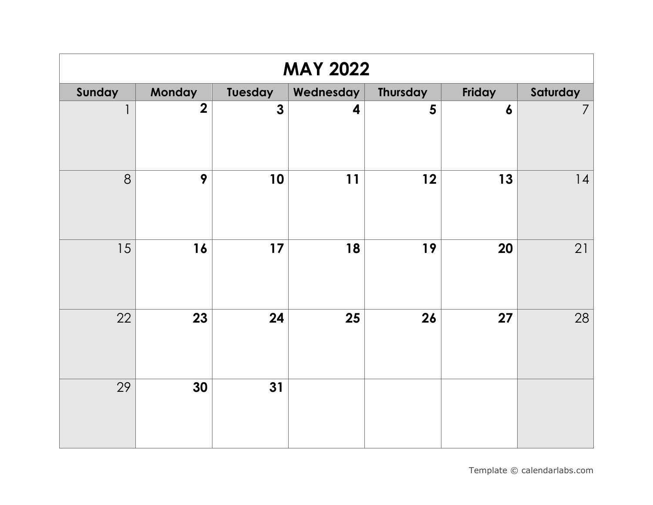| <b>MAY 2022</b> |                |              |           |                 |                  |                |  |  |  |
|-----------------|----------------|--------------|-----------|-----------------|------------------|----------------|--|--|--|
| Sunday          | Monday         | Tuesday      | Wednesday | <b>Thursday</b> | Friday           | Saturday       |  |  |  |
| $\mathbf{1}$    | $\overline{2}$ | $\mathbf{3}$ | 4         | 5               | $\boldsymbol{6}$ | $\overline{7}$ |  |  |  |
| 8               | 9              | 10           | 11        | 12              | 13               | 4              |  |  |  |
| 15              | 16             | 17           | 18        | 19              | 20               | 21             |  |  |  |
| 22              | 23             | 24           | 25        | 26              | 27               | 28             |  |  |  |
| 29              | 30             | 31           |           |                 |                  |                |  |  |  |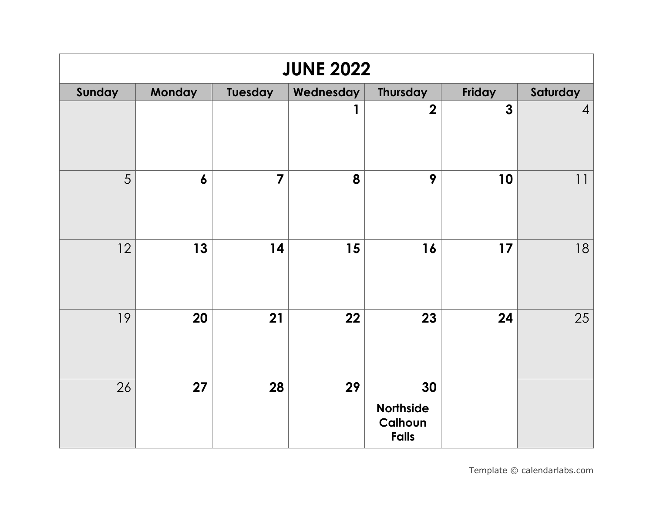| <b>JUNE 2022</b> |                  |                         |           |                                                   |              |                |  |  |  |
|------------------|------------------|-------------------------|-----------|---------------------------------------------------|--------------|----------------|--|--|--|
| Sunday           | Monday           | Tuesday                 | Wednesday | Thursday                                          | Friday       | Saturday       |  |  |  |
|                  |                  |                         | 1         | $\overline{\mathbf{2}}$                           | $\mathbf{3}$ | $\overline{4}$ |  |  |  |
| 5                | $\boldsymbol{6}$ | $\overline{\mathbf{z}}$ | 8         | 9                                                 | 10           | 11             |  |  |  |
| 12               | 13               | 14                      | 15        | 16                                                | 17           | 18             |  |  |  |
| 19               | 20               | 21                      | 22        | 23                                                | 24           | 25             |  |  |  |
| 26               | 27               | 28                      | 29        | 30<br><b>Northside</b><br>Calhoun<br><b>Falls</b> |              |                |  |  |  |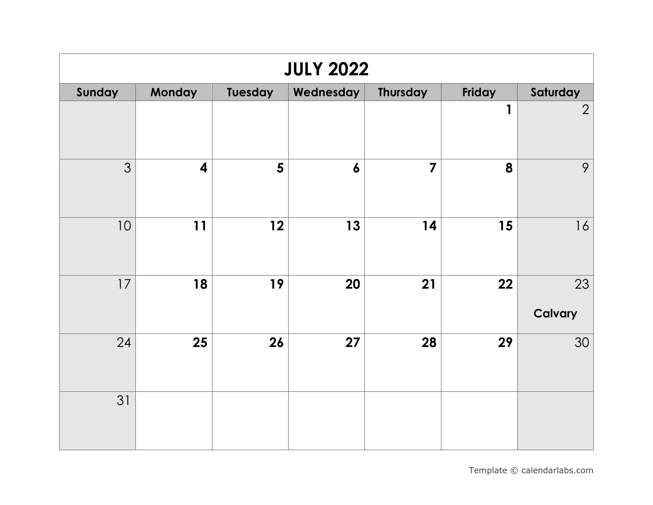| <b>JULY 2022</b> |                         |                |                  |                         |        |                |  |  |  |
|------------------|-------------------------|----------------|------------------|-------------------------|--------|----------------|--|--|--|
| Sunday           | Monday                  | Tuesday        | Wednesday        | <b>Thursday</b>         | Friday | Saturday       |  |  |  |
|                  |                         |                |                  |                         | 1      | $\overline{2}$ |  |  |  |
| 3                | $\overline{\mathbf{4}}$ | $5\phantom{1}$ | $\boldsymbol{6}$ | $\overline{\mathbf{7}}$ | 8      | 9              |  |  |  |
| 10               | 11                      | 12             | 13               | 14                      | 15     | 16             |  |  |  |
| 17               | 18                      | 19             | 20               | 21                      | 22     | 23<br>Calvary  |  |  |  |
| 24               | 25                      | 26             | 27               | 28                      | 29     | 30             |  |  |  |
| 31               |                         |                |                  |                         |        |                |  |  |  |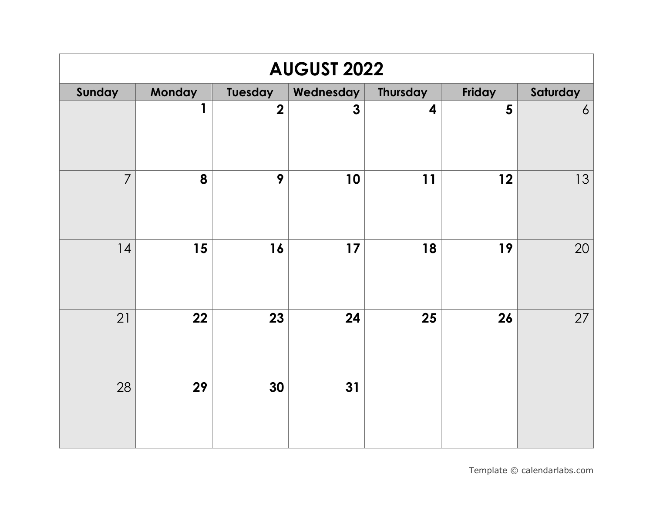| <b>AUGUST 2022</b> |        |                         |              |          |                |                 |  |  |  |
|--------------------|--------|-------------------------|--------------|----------|----------------|-----------------|--|--|--|
| Sunday             | Monday | Tuesday                 | Wednesday    | Thursday | Friday         | Saturday        |  |  |  |
|                    | 1      | $\overline{\mathbf{2}}$ | $\mathbf{3}$ | 4        | $5\phantom{1}$ | $\ddot{\delta}$ |  |  |  |
| $\overline{7}$     | 8      | 9                       | 10           | 11       | 12             | 13              |  |  |  |
| 14                 | 15     | 16                      | 17           | 18       | 19             | 20              |  |  |  |
| 21                 | 22     | 23                      | 24           | 25       | 26             | 27              |  |  |  |
| 28                 | 29     | 30                      | 31           |          |                |                 |  |  |  |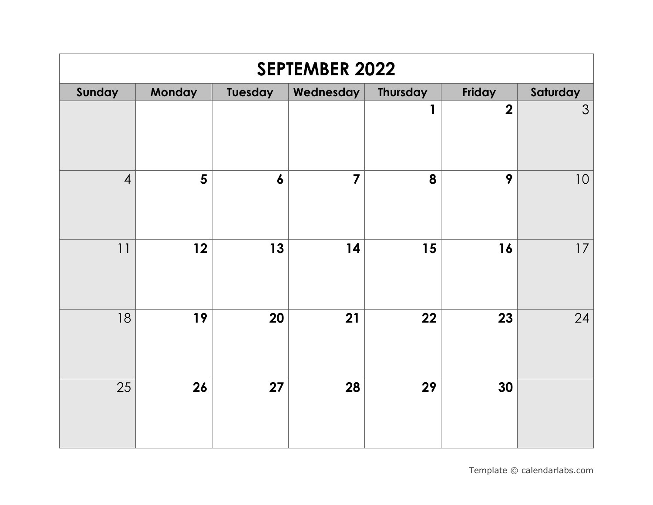| <b>SEPTEMBER 2022</b> |                |                  |                |                 |                         |          |  |  |
|-----------------------|----------------|------------------|----------------|-----------------|-------------------------|----------|--|--|
| Sunday                | Monday         | <b>Tuesday</b>   | Wednesday      | <b>Thursday</b> | Friday                  | Saturday |  |  |
|                       |                |                  |                | 1               | $\overline{\mathbf{2}}$ | 3        |  |  |
| $\overline{4}$        | $5\phantom{1}$ | $\boldsymbol{6}$ | $\overline{7}$ | 8               | 9                       | 10       |  |  |
| 11                    | 12             | 13               | 14             | 15              | 16                      | 17       |  |  |
| 18                    | 19             | 20               | 21             | 22              | 23                      | 24       |  |  |
| 25                    | 26             | 27               | 28             | 29              | 30                      |          |  |  |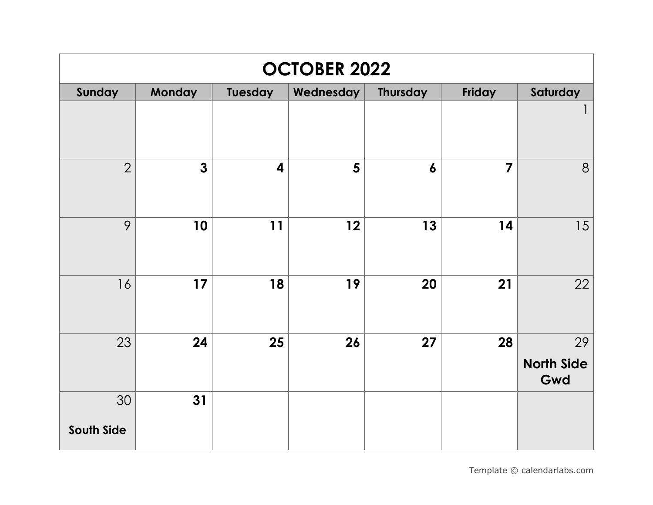| <b>OCTOBER 2022</b> |              |                         |           |                  |                         |                                |  |  |
|---------------------|--------------|-------------------------|-----------|------------------|-------------------------|--------------------------------|--|--|
| Sunday              | Monday       | Tuesday                 | Wednesday | Thursday         | Friday                  | Saturday                       |  |  |
|                     |              |                         |           |                  |                         | $\overline{\phantom{a}}$       |  |  |
| $\overline{2}$      | $\mathbf{3}$ | $\overline{\mathbf{4}}$ | 5         | $\boldsymbol{6}$ | $\overline{\mathbf{z}}$ | 8                              |  |  |
| 9                   | 10           | 11                      | 12        | 13               | 14                      | 15                             |  |  |
| 16                  | 17           | 18                      | 19        | 20               | 21                      | 22                             |  |  |
| 23                  | 24           | 25                      | 26        | 27               | 28                      | 29<br><b>North Side</b><br>Gwd |  |  |
| 30                  | 31           |                         |           |                  |                         |                                |  |  |
| South Side          |              |                         |           |                  |                         |                                |  |  |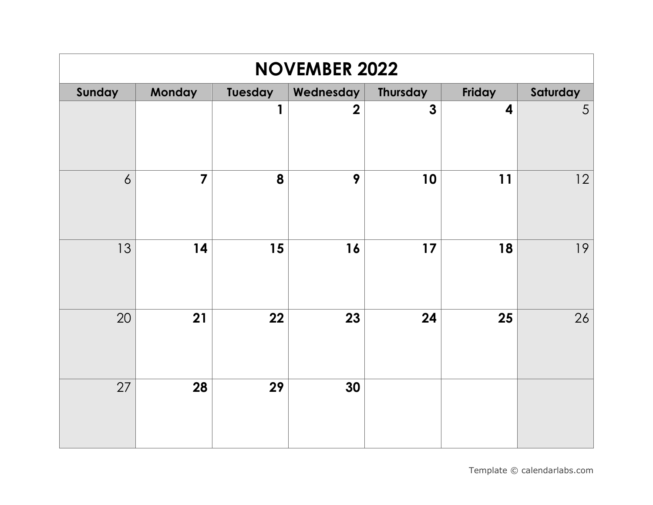| <b>NOVEMBER 2022</b> |                |                |                |                         |                         |          |  |  |
|----------------------|----------------|----------------|----------------|-------------------------|-------------------------|----------|--|--|
| Sunday               | Monday         | <b>Tuesday</b> | Wednesday      | <b>Thursday</b>         | Friday                  | Saturday |  |  |
|                      |                | 1              | $\overline{2}$ | $\overline{\mathbf{3}}$ | $\overline{\mathbf{4}}$ | 5        |  |  |
| $\overline{6}$       | $\overline{7}$ | 8              | 9              | 10                      | 11                      | 12       |  |  |
| 13                   | 14             | 15             | 16             | 17                      | 18                      | 19       |  |  |
| 20                   | 21             | 22             | 23             | 24                      | 25                      | 26       |  |  |
| 27                   | 28             | 29             | 30             |                         |                         |          |  |  |